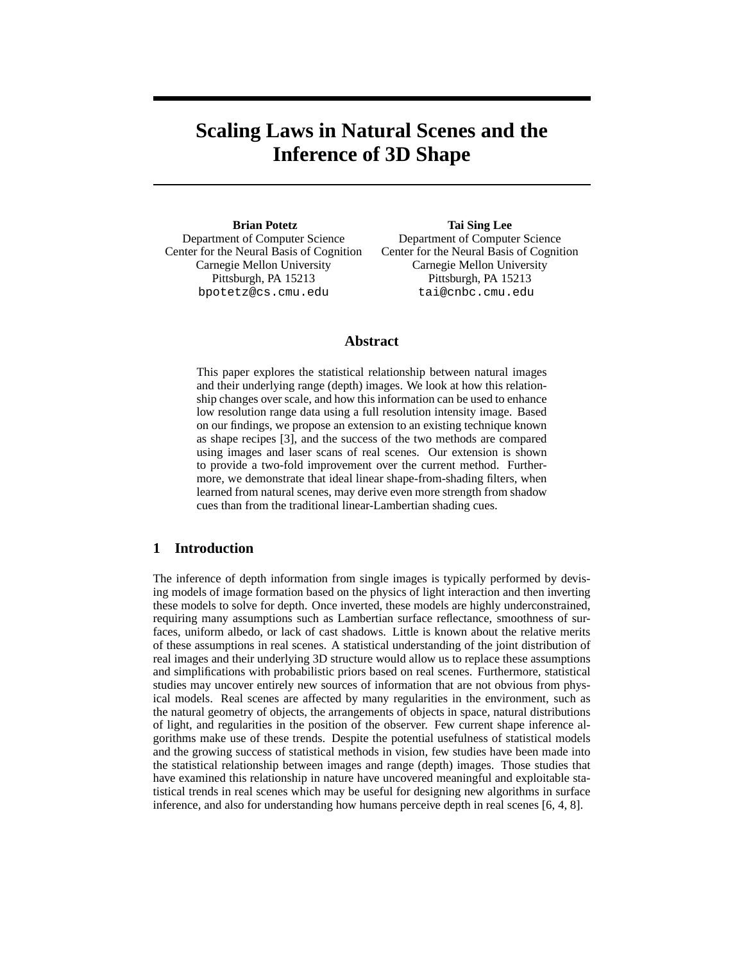# **Scaling Laws in Natural Scenes and the Inference of 3D Shape**

**Brian Potetz** Department of Computer Science Center for the Neural Basis of Cognition Carnegie Mellon University Pittsburgh, PA 15213 bpotetz@cs.cmu.edu

**Tai Sing Lee** Department of Computer Science Center for the Neural Basis of Cognition Carnegie Mellon University Pittsburgh, PA 15213 tai@cnbc.cmu.edu

# **Abstract**

This paper explores the statistical relationship between natural images and their underlying range (depth) images. We look at how this relationship changes over scale, and how this information can be used to enhance low resolution range data using a full resolution intensity image. Based on our findings, we propose an extension to an existing technique known as shape recipes [3], and the success of the two methods are compared using images and laser scans of real scenes. Our extension is shown to provide a two-fold improvement over the current method. Furthermore, we demonstrate that ideal linear shape-from-shading filters, when learned from natural scenes, may derive even more strength from shadow cues than from the traditional linear-Lambertian shading cues.

# **1 Introduction**

The inference of depth information from single images is typically performed by devising models of image formation based on the physics of light interaction and then inverting these models to solve for depth. Once inverted, these models are highly underconstrained, requiring many assumptions such as Lambertian surface reflectance, smoothness of surfaces, uniform albedo, or lack of cast shadows. Little is known about the relative merits of these assumptions in real scenes. A statistical understanding of the joint distribution of real images and their underlying 3D structure would allow us to replace these assumptions and simplifications with probabilistic priors based on real scenes. Furthermore, statistical studies may uncover entirely new sources of information that are not obvious from physical models. Real scenes are affected by many regularities in the environment, such as the natural geometry of objects, the arrangements of objects in space, natural distributions of light, and regularities in the position of the observer. Few current shape inference algorithms make use of these trends. Despite the potential usefulness of statistical models and the growing success of statistical methods in vision, few studies have been made into the statistical relationship between images and range (depth) images. Those studies that have examined this relationship in nature have uncovered meaningful and exploitable statistical trends in real scenes which may be useful for designing new algorithms in surface inference, and also for understanding how humans perceive depth in real scenes [6, 4, 8].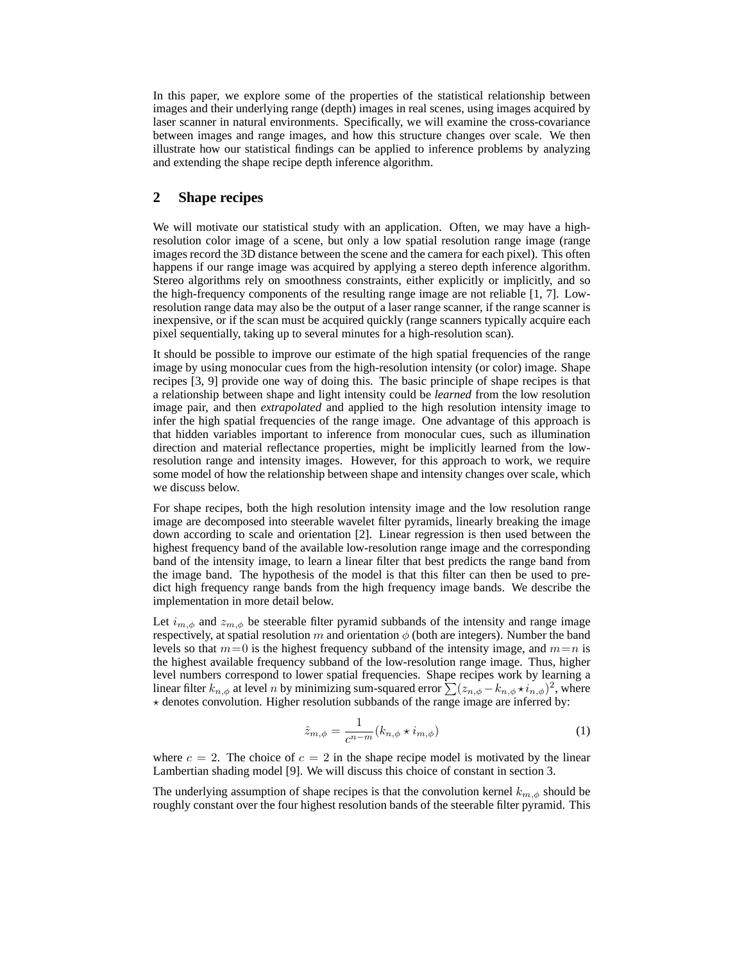In this paper, we explore some of the properties of the statistical relationship between images and their underlying range (depth) images in real scenes, using images acquired by laser scanner in natural environments. Specifically, we will examine the cross-covariance between images and range images, and how this structure changes over scale. We then illustrate how our statistical findings can be applied to inference problems by analyzing and extending the shape recipe depth inference algorithm.

### **2 Shape recipes**

We will motivate our statistical study with an application. Often, we may have a highresolution color image of a scene, but only a low spatial resolution range image (range images record the 3D distance between the scene and the camera for each pixel). This often happens if our range image was acquired by applying a stereo depth inference algorithm. Stereo algorithms rely on smoothness constraints, either explicitly or implicitly, and so the high-frequency components of the resulting range image are not reliable [1, 7]. Lowresolution range data may also be the output of a laser range scanner, if the range scanner is inexpensive, or if the scan must be acquired quickly (range scanners typically acquire each pixel sequentially, taking up to several minutes for a high-resolution scan).

It should be possible to improve our estimate of the high spatial frequencies of the range image by using monocular cues from the high-resolution intensity (or color) image. Shape recipes [3, 9] provide one way of doing this. The basic principle of shape recipes is that a relationship between shape and light intensity could be *learned* from the low resolution image pair, and then *extrapolated* and applied to the high resolution intensity image to infer the high spatial frequencies of the range image. One advantage of this approach is that hidden variables important to inference from monocular cues, such as illumination direction and material reflectance properties, might be implicitly learned from the lowresolution range and intensity images. However, for this approach to work, we require some model of how the relationship between shape and intensity changes over scale, which we discuss below.

For shape recipes, both the high resolution intensity image and the low resolution range image are decomposed into steerable wavelet filter pyramids, linearly breaking the image down according to scale and orientation [2]. Linear regression is then used between the highest frequency band of the available low-resolution range image and the corresponding band of the intensity image, to learn a linear filter that best predicts the range band from the image band. The hypothesis of the model is that this filter can then be used to predict high frequency range bands from the high frequency image bands. We describe the implementation in more detail below.

Let  $i_{m,\phi}$  and  $z_{m,\phi}$  be steerable filter pyramid subbands of the intensity and range image respectively, at spatial resolution m and orientation  $\phi$  (both are integers). Number the band levels so that  $m=0$  is the highest frequency subband of the intensity image, and  $m=n$  is the highest available frequency subband of the low-resolution range image. Thus, higher level numbers correspond to lower spatial frequencies. Shape recipes work by learning a linear filter  $k_{n,\phi}$  at level n by minimizing sum-squared error  $\sum (z_{n,\phi} - k_{n,\phi} \star i_{n,\phi})^2$ , where  $\star$  denotes convolution. Higher resolution subbands of the range image are inferred by:

$$
\hat{z}_{m,\phi} = \frac{1}{c^{n-m}} (k_{n,\phi} \star i_{m,\phi})
$$
 (1)

where  $c = 2$ . The choice of  $c = 2$  in the shape recipe model is motivated by the linear Lambertian shading model [9]. We will discuss this choice of constant in section 3.

The underlying assumption of shape recipes is that the convolution kernel  $k_{m,\phi}$  should be roughly constant over the four highest resolution bands of the steerable filter pyramid. This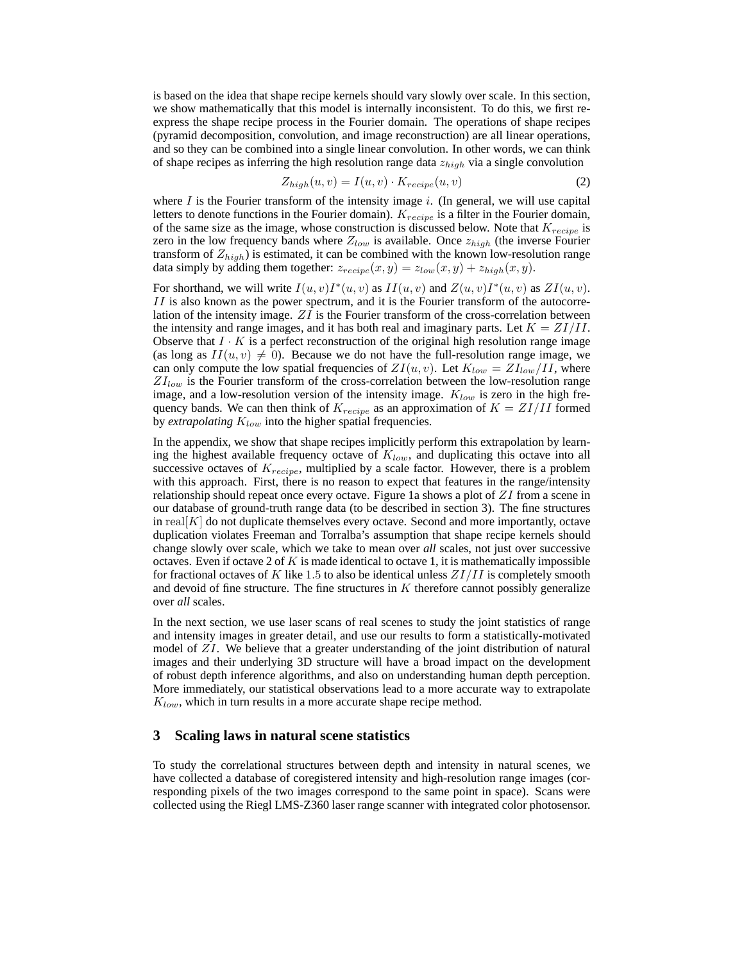is based on the idea that shape recipe kernels should vary slowly over scale. In this section, we show mathematically that this model is internally inconsistent. To do this, we first reexpress the shape recipe process in the Fourier domain. The operations of shape recipes (pyramid decomposition, convolution, and image reconstruction) are all linear operations, and so they can be combined into a single linear convolution. In other words, we can think of shape recipes as inferring the high resolution range data  $z_{high}$  via a single convolution

$$
Z_{high}(u,v) = I(u,v) \cdot K_{recipe}(u,v)
$$
\n(2)

where I is the Fourier transform of the intensity image  $i$ . (In general, we will use capital letters to denote functions in the Fourier domain).  $K_{recipe}$  is a filter in the Fourier domain, of the same size as the image, whose construction is discussed below. Note that  $K_{recipe}$  is zero in the low frequency bands where  $Z_{low}$  is available. Once  $z_{high}$  (the inverse Fourier transform of  $Z_{high}$ ) is estimated, it can be combined with the known low-resolution range data simply by adding them together:  $z_{recipe}(x, y) = z_{low}(x, y) + z_{high}(x, y)$ .

For shorthand, we will write  $I(u, v)I^*(u, v)$  as  $II(u, v)$  and  $Z(u, v)I^*(u, v)$  as  $ZI(u, v)$ .  $II$  is also known as the power spectrum, and it is the Fourier transform of the autocorrelation of the intensity image.  $ZI$  is the Fourier transform of the cross-correlation between the intensity and range images, and it has both real and imaginary parts. Let  $K = ZI/II$ . Observe that  $I \cdot K$  is a perfect reconstruction of the original high resolution range image (as long as  $II(u, v) \neq 0$ ). Because we do not have the full-resolution range image, we can only compute the low spatial frequencies of  $ZI(u, v)$ . Let  $K_{low} = ZI_{low}/II$ , where  $ZI_{low}$  is the Fourier transform of the cross-correlation between the low-resolution range image, and a low-resolution version of the intensity image.  $K_{low}$  is zero in the high frequency bands. We can then think of  $K_{recipe}$  as an approximation of  $K = ZI/II$  formed by *extrapolating*  $K_{low}$  into the higher spatial frequencies.

In the appendix, we show that shape recipes implicitly perform this extrapolation by learning the highest available frequency octave of  $K_{low}$ , and duplicating this octave into all successive octaves of  $K_{recipe}$ , multiplied by a scale factor. However, there is a problem with this approach. First, there is no reason to expect that features in the range/intensity relationship should repeat once every octave. Figure 1a shows a plot of  $ZI$  from a scene in our database of ground-truth range data (to be described in section 3). The fine structures in real $|K|$  do not duplicate themselves every octave. Second and more importantly, octave duplication violates Freeman and Torralba's assumption that shape recipe kernels should change slowly over scale, which we take to mean over *all* scales, not just over successive octaves. Even if octave 2 of  $K$  is made identical to octave 1, it is mathematically impossible for fractional octaves of K like 1.5 to also be identical unless  $ZI/II$  is completely smooth and devoid of fine structure. The fine structures in  $K$  therefore cannot possibly generalize over *all* scales.

In the next section, we use laser scans of real scenes to study the joint statistics of range and intensity images in greater detail, and use our results to form a statistically-motivated model of ZI. We believe that a greater understanding of the joint distribution of natural images and their underlying 3D structure will have a broad impact on the development of robust depth inference algorithms, and also on understanding human depth perception. More immediately, our statistical observations lead to a more accurate way to extrapolate  $K_{low}$ , which in turn results in a more accurate shape recipe method.

#### **3 Scaling laws in natural scene statistics**

To study the correlational structures between depth and intensity in natural scenes, we have collected a database of coregistered intensity and high-resolution range images (corresponding pixels of the two images correspond to the same point in space). Scans were collected using the Riegl LMS-Z360 laser range scanner with integrated color photosensor.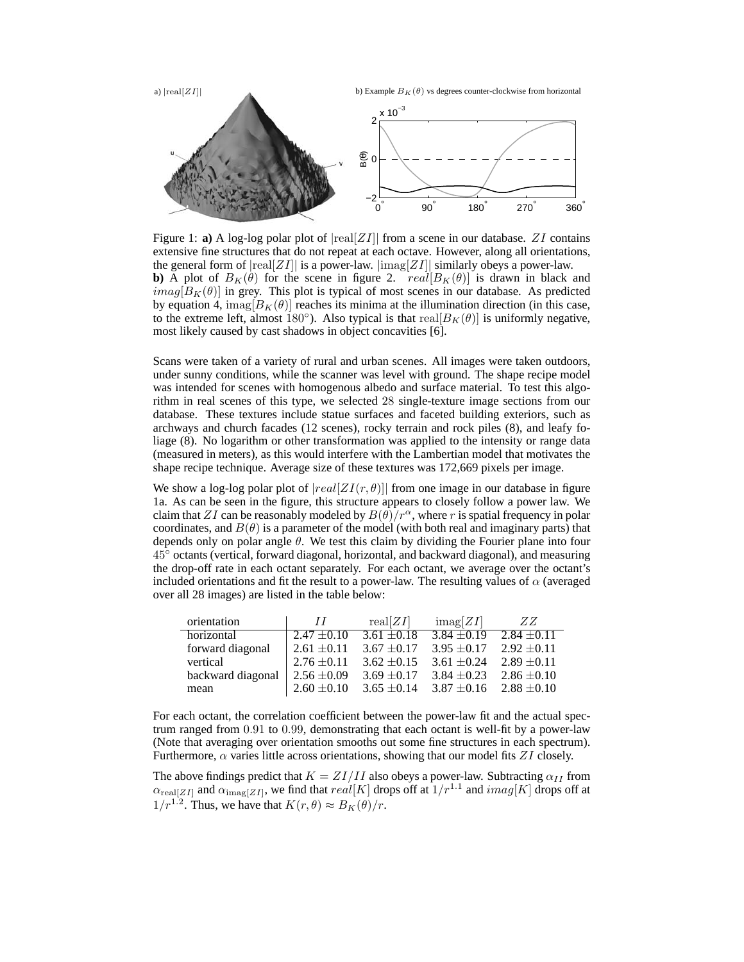

Figure 1: **a**) A log-log polar plot of  $\text{real}[ZI]$  from a scene in our database. ZI contains extensive fine structures that do not repeat at each octave. However, along all orientations, the general form of  $|real[ZI]|$  is a power-law.  $|imag[ZI]|$  similarly obeys a power-law. **b**) A plot of  $B_K(\theta)$  for the scene in figure 2. real  $[B_K(\theta)]$  is drawn in black and  $imag|B_K(\theta)|$  in grey. This plot is typical of most scenes in our database. As predicted by equation 4, imag $[B_K(\theta)]$  reaches its minima at the illumination direction (in this case, to the extreme left, almost 180 $^{\circ}$ ). Also typical is that real $[B_K(\theta)]$  is uniformly negative, most likely caused by cast shadows in object concavities [6].

Scans were taken of a variety of rural and urban scenes. All images were taken outdoors, under sunny conditions, while the scanner was level with ground. The shape recipe model was intended for scenes with homogenous albedo and surface material. To test this algorithm in real scenes of this type, we selected 28 single-texture image sections from our database. These textures include statue surfaces and faceted building exteriors, such as archways and church facades (12 scenes), rocky terrain and rock piles (8), and leafy foliage (8). No logarithm or other transformation was applied to the intensity or range data (measured in meters), as this would interfere with the Lambertian model that motivates the shape recipe technique. Average size of these textures was 172,669 pixels per image.

We show a log-log polar plot of  $|real[ZI(r, \theta)]|$  from one image in our database in figure 1a. As can be seen in the figure, this structure appears to closely follow a power law. We claim that ZI can be reasonably modeled by  $B(\theta)/r^{\alpha}$ , where r is spatial frequency in polar coordinates, and  $B(\theta)$  is a parameter of the model (with both real and imaginary parts) that depends only on polar angle  $\theta$ . We test this claim by dividing the Fourier plane into four 45◦ octants (vertical, forward diagonal, horizontal, and backward diagonal), and measuring the drop-off rate in each octant separately. For each octant, we average over the octant's included orientations and fit the result to a power-law. The resulting values of  $\alpha$  (averaged over all 28 images) are listed in the table below:

| orientation       | $\frac{1}{2}$   | real[ZI]        | $\text{imag}[ZI]$ | ZZ.             |
|-------------------|-----------------|-----------------|-------------------|-----------------|
| horizontal        | $2.47 \pm 0.10$ | $3.61 \pm 0.18$ | $3.84 \pm 0.19$   | $2.84 \pm 0.11$ |
| forward diagonal  | $2.61 \pm 0.11$ | $3.67 \pm 0.17$ | $3.95 \pm 0.17$   | $2.92 \pm 0.11$ |
| vertical          | $2.76 \pm 0.11$ | $3.62 \pm 0.15$ | $3.61 \pm 0.24$   | $2.89 \pm 0.11$ |
| backward diagonal | $2.56 \pm 0.09$ | $3.69 \pm 0.17$ | $3.84 \pm 0.23$   | $2.86 \pm 0.10$ |
| mean              | $2.60 \pm 0.10$ | $3.65 \pm 0.14$ | $3.87 \pm 0.16$   | $2.88 \pm 0.10$ |

For each octant, the correlation coefficient between the power-law fit and the actual spectrum ranged from 0.91 to 0.99, demonstrating that each octant is well-fit by a power-law (Note that averaging over orientation smooths out some fine structures in each spectrum). Furthermore,  $\alpha$  varies little across orientations, showing that our model fits ZI closely.

The above findings predict that  $K = ZI/II$  also obeys a power-law. Subtracting  $\alpha_{II}$  from  $\alpha_{\rm real[ZI]}$  and  $\alpha_{\rm imag[ZI]}$ , we find that  $real[K]$  drops off at  $1/r^{1.1}$  and  $imag[K]$  drops off at  $1/r^{1.2}$ . Thus, we have that  $K(r, \theta) \approx B_K(\theta)/r$ .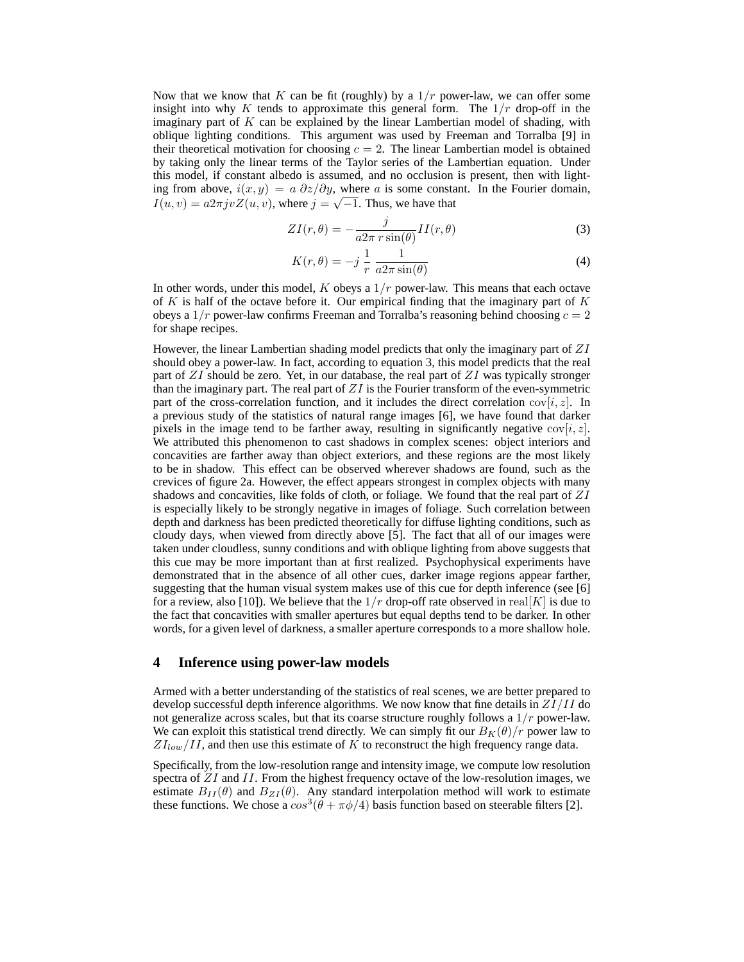Now that we know that K can be fit (roughly) by a  $1/r$  power-law, we can offer some insight into why K tends to approximate this general form. The  $1/r$  drop-off in the imaginary part of  $K$  can be explained by the linear Lambertian model of shading, with oblique lighting conditions. This argument was used by Freeman and Torralba [9] in their theoretical motivation for choosing  $c = 2$ . The linear Lambertian model is obtained by taking only the linear terms of the Taylor series of the Lambertian equation. Under this model, if constant albedo is assumed, and no occlusion is present, then with lighting from above,  $i(x, y) = a \frac{\partial z}{\partial y}$ , where a is some constant. In the Fourier domain,  $I(u, v) = a2\pi jvZ(u, v)$ , where  $j = \sqrt{-1}$ . Thus, we have that

$$
ZI(r,\theta) = -\frac{j}{a2\pi \sin(\theta)}II(r,\theta)
$$
\n(3)

$$
K(r,\theta) = -j\,\frac{1}{r}\,\frac{1}{a2\pi\sin(\theta)}\tag{4}
$$

In other words, under this model,  $K$  obeys a  $1/r$  power-law. This means that each octave of K is half of the octave before it. Our empirical finding that the imaginary part of  $K$ obeys a  $1/r$  power-law confirms Freeman and Torralba's reasoning behind choosing  $c = 2$ for shape recipes.

However, the linear Lambertian shading model predicts that only the imaginary part of  $ZI$ should obey a power-law. In fact, according to equation 3, this model predicts that the real part of  $ZI$  should be zero. Yet, in our database, the real part of  $ZI$  was typically stronger than the imaginary part. The real part of  $ZI$  is the Fourier transform of the even-symmetric part of the cross-correlation function, and it includes the direct correlation  $\text{cov}[i, z]$ . In a previous study of the statistics of natural range images [6], we have found that darker pixels in the image tend to be farther away, resulting in significantly negative  $\text{cov}[i, z]$ . We attributed this phenomenon to cast shadows in complex scenes: object interiors and concavities are farther away than object exteriors, and these regions are the most likely to be in shadow. This effect can be observed wherever shadows are found, such as the crevices of figure 2a. However, the effect appears strongest in complex objects with many shadows and concavities, like folds of cloth, or foliage. We found that the real part of ZI is especially likely to be strongly negative in images of foliage. Such correlation between depth and darkness has been predicted theoretically for diffuse lighting conditions, such as cloudy days, when viewed from directly above [5]. The fact that all of our images were taken under cloudless, sunny conditions and with oblique lighting from above suggests that this cue may be more important than at first realized. Psychophysical experiments have demonstrated that in the absence of all other cues, darker image regions appear farther, suggesting that the human visual system makes use of this cue for depth inference (see [6] for a review, also [10]). We believe that the  $1/r$  drop-off rate observed in real[K] is due to the fact that concavities with smaller apertures but equal depths tend to be darker. In other words, for a given level of darkness, a smaller aperture corresponds to a more shallow hole.

#### **4 Inference using power-law models**

Armed with a better understanding of the statistics of real scenes, we are better prepared to develop successful depth inference algorithms. We now know that fine details in  $ZI/II$  do not generalize across scales, but that its coarse structure roughly follows a  $1/r$  power-law. We can exploit this statistical trend directly. We can simply fit our  $B_K(\theta)/r$  power law to  $ZI_{low}/II$ , and then use this estimate of K to reconstruct the high frequency range data.

Specifically, from the low-resolution range and intensity image, we compute low resolution spectra of  $ZI$  and II. From the highest frequency octave of the low-resolution images, we estimate  $B_{II}(\theta)$  and  $B_{ZI}(\theta)$ . Any standard interpolation method will work to estimate these functions. We chose a  $cos^3(\theta + \pi\phi/4)$  basis function based on steerable filters [2].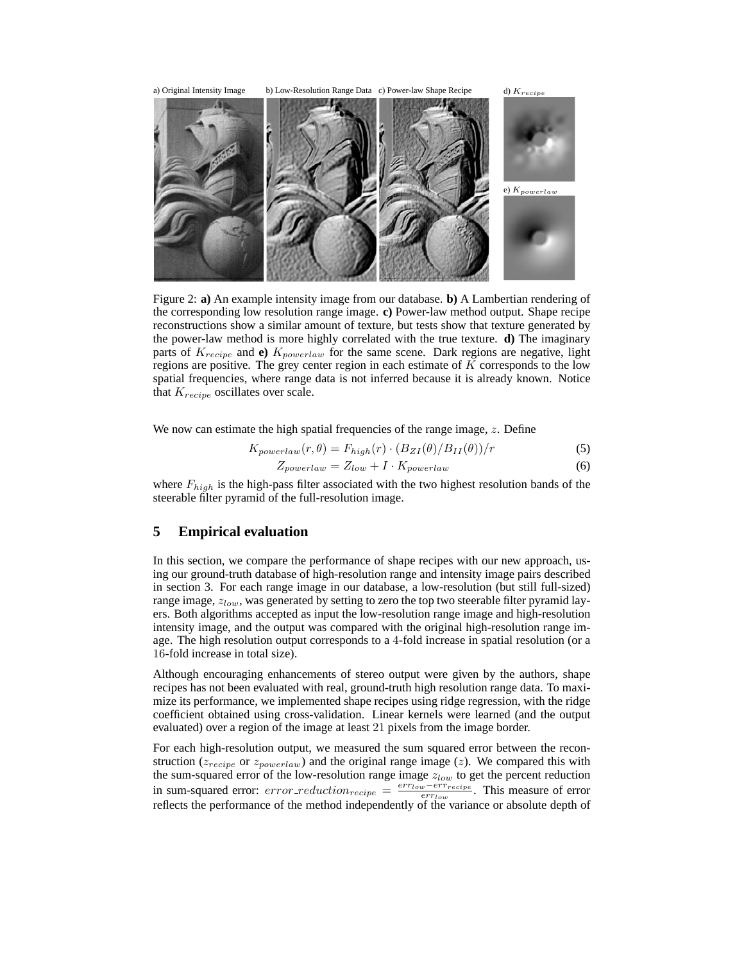

Figure 2: **a)** An example intensity image from our database. **b)** A Lambertian rendering of the corresponding low resolution range image. **c)** Power-law method output. Shape recipe reconstructions show a similar amount of texture, but tests show that texture generated by the power-law method is more highly correlated with the true texture. **d)** The imaginary parts of  $K_{recipe}$  and **e**)  $K_{powerlaw}$  for the same scene. Dark regions are negative, light regions are positive. The grey center region in each estimate of  $K$  corresponds to the low spatial frequencies, where range data is not inferred because it is already known. Notice that  $K_{recipe}$  oscillates over scale.

We now can estimate the high spatial frequencies of the range image,  $z$ . Define

$$
K_{powerlaw}(r,\theta) = F_{high}(r) \cdot (B_{ZI}(\theta)/B_{II}(\theta))/r
$$
\n(5)

$$
Z_{powerlaw} = Z_{low} + I \cdot K_{powerlaw} \tag{6}
$$

where  $F_{high}$  is the high-pass filter associated with the two highest resolution bands of the steerable filter pyramid of the full-resolution image.

### **5 Empirical evaluation**

In this section, we compare the performance of shape recipes with our new approach, using our ground-truth database of high-resolution range and intensity image pairs described in section 3. For each range image in our database, a low-resolution (but still full-sized) range image,  $z_{low}$ , was generated by setting to zero the top two steerable filter pyramid layers. Both algorithms accepted as input the low-resolution range image and high-resolution intensity image, and the output was compared with the original high-resolution range image. The high resolution output corresponds to a 4-fold increase in spatial resolution (or a 16-fold increase in total size).

Although encouraging enhancements of stereo output were given by the authors, shape recipes has not been evaluated with real, ground-truth high resolution range data. To maximize its performance, we implemented shape recipes using ridge regression, with the ridge coefficient obtained using cross-validation. Linear kernels were learned (and the output evaluated) over a region of the image at least 21 pixels from the image border.

For each high-resolution output, we measured the sum squared error between the reconstruction ( $z_{recipe}$  or  $z_{powerlaw}$ ) and the original range image (z). We compared this with the sum-squared error of the low-resolution range image  $z_{low}$  to get the percent reduction in sum-squared error:  $error\_reduction_{recipe} = \frac{err_{low}-err_{recipe}}{err_{low}}$  $\frac{v = err_{recipe}}{err_{low}}$ . This measure of error reflects the performance of the method independently of the variance or absolute depth of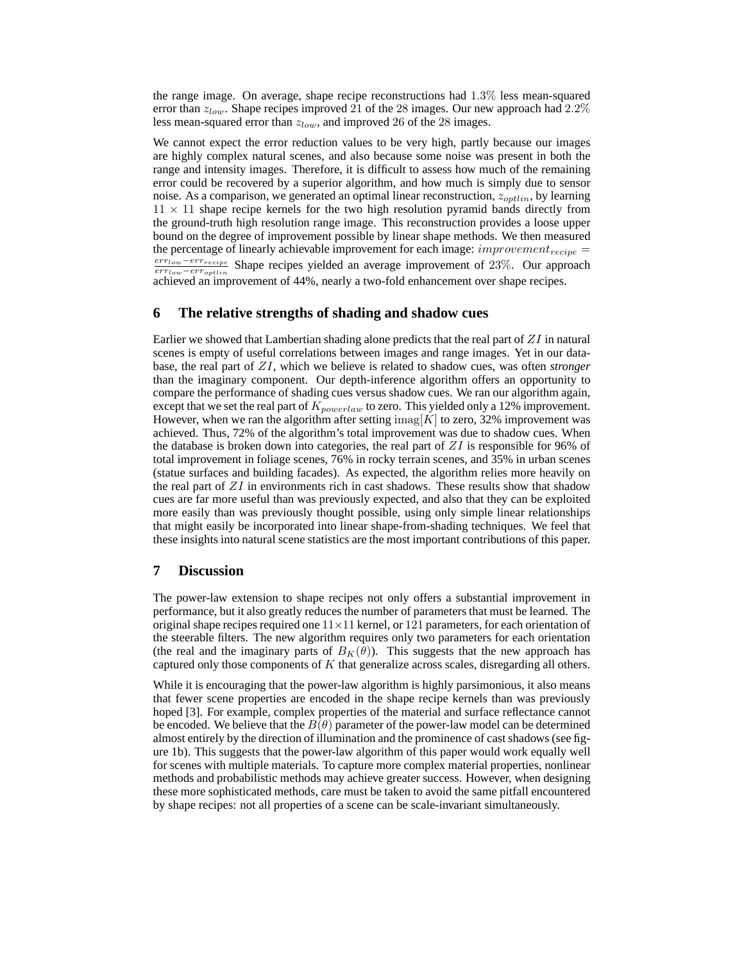the range image. On average, shape recipe reconstructions had 1.3% less mean-squared error than  $z_{low}$ . Shape recipes improved 21 of the 28 images. Our new approach had 2.2% less mean-squared error than  $z_{low}$ , and improved 26 of the 28 images.

We cannot expect the error reduction values to be very high, partly because our images are highly complex natural scenes, and also because some noise was present in both the range and intensity images. Therefore, it is difficult to assess how much of the remaining error could be recovered by a superior algorithm, and how much is simply due to sensor noise. As a comparison, we generated an optimal linear reconstruction,  $z_{optlin}$ , by learning  $11 \times 11$  shape recipe kernels for the two high resolution pyramid bands directly from the ground-truth high resolution range image. This reconstruction provides a loose upper bound on the degree of improvement possible by linear shape methods. We then measured the percentage of linearly achievable improvement for each image:  $improvement_{recipe}$  = errlow−errrecipe  $\frac{err_{low}-err_{recipe}}{err_{low}-err_{optlin}}$  Shape recipes yielded an average improvement of 23%. Our approach  $\frac{error_{overline}-error_{optlin}}{error_{optlin}}$  shape recipes yielded an average improvement or  $23/0$ . Our approachieved an improvement of 44%, nearly a two-fold enhancement over shape recipes.

#### **6 The relative strengths of shading and shadow cues**

Earlier we showed that Lambertian shading alone predicts that the real part of  $ZI$  in natural scenes is empty of useful correlations between images and range images. Yet in our database, the real part of ZI, which we believe is related to shadow cues, was often *stronger* than the imaginary component. Our depth-inference algorithm offers an opportunity to compare the performance of shading cues versus shadow cues. We ran our algorithm again, except that we set the real part of  $K_{powerlaw}$  to zero. This yielded only a 12% improvement. However, when we ran the algorithm after setting  $\text{imag}[K]$  to zero, 32% improvement was achieved. Thus, 72% of the algorithm's total improvement was due to shadow cues. When the database is broken down into categories, the real part of  $ZI$  is responsible for 96% of total improvement in foliage scenes, 76% in rocky terrain scenes, and 35% in urban scenes (statue surfaces and building facades). As expected, the algorithm relies more heavily on the real part of  $ZI$  in environments rich in cast shadows. These results show that shadow cues are far more useful than was previously expected, and also that they can be exploited more easily than was previously thought possible, using only simple linear relationships that might easily be incorporated into linear shape-from-shading techniques. We feel that these insights into natural scene statistics are the most important contributions of this paper.

#### **7 Discussion**

The power-law extension to shape recipes not only offers a substantial improvement in performance, but it also greatly reduces the number of parameters that must be learned. The original shape recipes required one  $11\times11$  kernel, or 121 parameters, for each orientation of the steerable filters. The new algorithm requires only two parameters for each orientation (the real and the imaginary parts of  $B_K(\theta)$ ). This suggests that the new approach has captured only those components of  $K$  that generalize across scales, disregarding all others.

While it is encouraging that the power-law algorithm is highly parsimonious, it also means that fewer scene properties are encoded in the shape recipe kernels than was previously hoped [3]. For example, complex properties of the material and surface reflectance cannot be encoded. We believe that the  $B(\theta)$  parameter of the power-law model can be determined almost entirely by the direction of illumination and the prominence of cast shadows (see figure 1b). This suggests that the power-law algorithm of this paper would work equally well for scenes with multiple materials. To capture more complex material properties, nonlinear methods and probabilistic methods may achieve greater success. However, when designing these more sophisticated methods, care must be taken to avoid the same pitfall encountered by shape recipes: not all properties of a scene can be scale-invariant simultaneously.